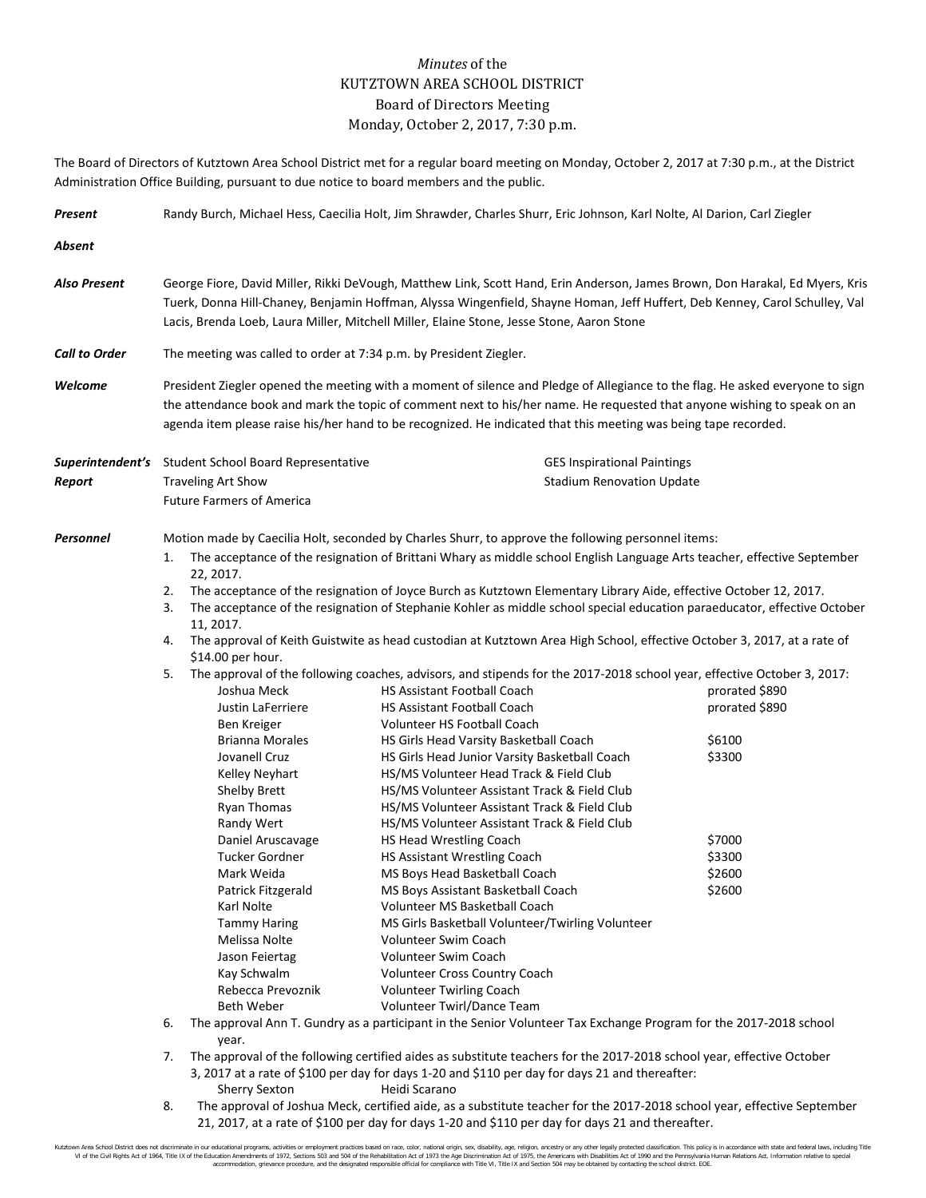## *Minutes* of the KUTZTOWN AREA SCHOOL DISTRICT Board of Directors Meeting Monday, October 2, 2017, 7:30 p.m.

The Board of Directors of Kutztown Area School District met for a regular board meeting on Monday, October 2, 2017 at 7:30 p.m., at the District Administration Office Building, pursuant to due notice to board members and the public.

| Present              | Randy Burch, Michael Hess, Caecilia Holt, Jim Shrawder, Charles Shurr, Eric Johnson, Karl Nolte, Al Darion, Carl Ziegler                                                                                                                                                                                                                                                    |                                                                                                                                                                                                                                                                                                                                                                                                                      |                                                                                                                                                                                                                                                                                                                                                                                                                                                                                                                                                                                                                                                                                                                                                                                                                                                                                                                                                                                                                                                                                                                                                                                                                                                                                                                                                                                                                                                                                                                |  |                                                                                              |  |  |
|----------------------|-----------------------------------------------------------------------------------------------------------------------------------------------------------------------------------------------------------------------------------------------------------------------------------------------------------------------------------------------------------------------------|----------------------------------------------------------------------------------------------------------------------------------------------------------------------------------------------------------------------------------------------------------------------------------------------------------------------------------------------------------------------------------------------------------------------|----------------------------------------------------------------------------------------------------------------------------------------------------------------------------------------------------------------------------------------------------------------------------------------------------------------------------------------------------------------------------------------------------------------------------------------------------------------------------------------------------------------------------------------------------------------------------------------------------------------------------------------------------------------------------------------------------------------------------------------------------------------------------------------------------------------------------------------------------------------------------------------------------------------------------------------------------------------------------------------------------------------------------------------------------------------------------------------------------------------------------------------------------------------------------------------------------------------------------------------------------------------------------------------------------------------------------------------------------------------------------------------------------------------------------------------------------------------------------------------------------------------|--|----------------------------------------------------------------------------------------------|--|--|
| Absent               |                                                                                                                                                                                                                                                                                                                                                                             |                                                                                                                                                                                                                                                                                                                                                                                                                      |                                                                                                                                                                                                                                                                                                                                                                                                                                                                                                                                                                                                                                                                                                                                                                                                                                                                                                                                                                                                                                                                                                                                                                                                                                                                                                                                                                                                                                                                                                                |  |                                                                                              |  |  |
| Also Present         | George Fiore, David Miller, Rikki DeVough, Matthew Link, Scott Hand, Erin Anderson, James Brown, Don Harakal, Ed Myers, Kris<br>Tuerk, Donna Hill-Chaney, Benjamin Hoffman, Alyssa Wingenfield, Shayne Homan, Jeff Huffert, Deb Kenney, Carol Schulley, Val<br>Lacis, Brenda Loeb, Laura Miller, Mitchell Miller, Elaine Stone, Jesse Stone, Aaron Stone                    |                                                                                                                                                                                                                                                                                                                                                                                                                      |                                                                                                                                                                                                                                                                                                                                                                                                                                                                                                                                                                                                                                                                                                                                                                                                                                                                                                                                                                                                                                                                                                                                                                                                                                                                                                                                                                                                                                                                                                                |  |                                                                                              |  |  |
| <b>Call to Order</b> | The meeting was called to order at 7:34 p.m. by President Ziegler.                                                                                                                                                                                                                                                                                                          |                                                                                                                                                                                                                                                                                                                                                                                                                      |                                                                                                                                                                                                                                                                                                                                                                                                                                                                                                                                                                                                                                                                                                                                                                                                                                                                                                                                                                                                                                                                                                                                                                                                                                                                                                                                                                                                                                                                                                                |  |                                                                                              |  |  |
| Welcome              | President Ziegler opened the meeting with a moment of silence and Pledge of Allegiance to the flag. He asked everyone to sign<br>the attendance book and mark the topic of comment next to his/her name. He requested that anyone wishing to speak on an<br>agenda item please raise his/her hand to be recognized. He indicated that this meeting was being tape recorded. |                                                                                                                                                                                                                                                                                                                                                                                                                      |                                                                                                                                                                                                                                                                                                                                                                                                                                                                                                                                                                                                                                                                                                                                                                                                                                                                                                                                                                                                                                                                                                                                                                                                                                                                                                                                                                                                                                                                                                                |  |                                                                                              |  |  |
| Report               |                                                                                                                                                                                                                                                                                                                                                                             | <b>Traveling Art Show</b><br><b>Future Farmers of America</b>                                                                                                                                                                                                                                                                                                                                                        | <b>Superintendent's</b> Student School Board Representative                                                                                                                                                                                                                                                                                                                                                                                                                                                                                                                                                                                                                                                                                                                                                                                                                                                                                                                                                                                                                                                                                                                                                                                                                                                                                                                                                                                                                                                    |  | <b>GES Inspirational Paintings</b><br><b>Stadium Renovation Update</b>                       |  |  |
| Personnel            | 1.<br>2.<br>3.<br>4.<br>5.                                                                                                                                                                                                                                                                                                                                                  | 22, 2017.<br>11, 2017.<br>\$14.00 per hour.<br>Joshua Meck<br>Justin LaFerriere<br>Ben Kreiger<br><b>Brianna Morales</b><br>Jovanell Cruz<br>Kelley Neyhart<br><b>Shelby Brett</b><br>Ryan Thomas<br>Randy Wert<br>Daniel Aruscavage<br>Tucker Gordner<br>Mark Weida<br>Patrick Fitzgerald<br>Karl Nolte<br><b>Tammy Haring</b><br>Melissa Nolte<br>Jason Feiertag<br>Kay Schwalm<br>Rebecca Prevoznik<br>Beth Weber | Motion made by Caecilia Holt, seconded by Charles Shurr, to approve the following personnel items:<br>The acceptance of the resignation of Brittani Whary as middle school English Language Arts teacher, effective September<br>The acceptance of the resignation of Joyce Burch as Kutztown Elementary Library Aide, effective October 12, 2017.<br>The acceptance of the resignation of Stephanie Kohler as middle school special education paraeducator, effective October<br>The approval of Keith Guistwite as head custodian at Kutztown Area High School, effective October 3, 2017, at a rate of<br>The approval of the following coaches, advisors, and stipends for the 2017-2018 school year, effective October 3, 2017:<br><b>HS Assistant Football Coach</b><br><b>HS Assistant Football Coach</b><br>Volunteer HS Football Coach<br>HS Girls Head Varsity Basketball Coach<br>HS Girls Head Junior Varsity Basketball Coach<br>HS/MS Volunteer Head Track & Field Club<br>HS/MS Volunteer Assistant Track & Field Club<br>HS/MS Volunteer Assistant Track & Field Club<br>HS/MS Volunteer Assistant Track & Field Club<br>HS Head Wrestling Coach<br>HS Assistant Wrestling Coach<br>MS Boys Head Basketball Coach<br>MS Boys Assistant Basketball Coach<br>Volunteer MS Basketball Coach<br>MS Girls Basketball Volunteer/Twirling Volunteer<br>Volunteer Swim Coach<br>Volunteer Swim Coach<br>Volunteer Cross Country Coach<br><b>Volunteer Twirling Coach</b><br>Volunteer Twirl/Dance Team |  | prorated \$890<br>prorated \$890<br>\$6100<br>\$3300<br>\$7000<br>\$3300<br>\$2600<br>\$2600 |  |  |
|                      | 6.                                                                                                                                                                                                                                                                                                                                                                          | The approval Ann T. Gundry as a participant in the Senior Volunteer Tax Exchange Program for the 2017-2018 school<br>year.                                                                                                                                                                                                                                                                                           |                                                                                                                                                                                                                                                                                                                                                                                                                                                                                                                                                                                                                                                                                                                                                                                                                                                                                                                                                                                                                                                                                                                                                                                                                                                                                                                                                                                                                                                                                                                |  |                                                                                              |  |  |
|                      | The approval of the following certified aides as substitute teachers for the 2017-2018 school year, effective October<br>7.                                                                                                                                                                                                                                                 |                                                                                                                                                                                                                                                                                                                                                                                                                      |                                                                                                                                                                                                                                                                                                                                                                                                                                                                                                                                                                                                                                                                                                                                                                                                                                                                                                                                                                                                                                                                                                                                                                                                                                                                                                                                                                                                                                                                                                                |  |                                                                                              |  |  |

- 3, 2017 at a rate of \$100 per day for days 1-20 and \$110 per day for days 21 and thereafter: Sherry Sexton Heidi Scarano
- 8. The approval of Joshua Meck, certified aide, as a substitute teacher for the 2017-2018 school year, effective September 21, 2017, at a rate of \$100 per day for days 1-20 and \$110 per day for days 21 and thereafter.

Kutztown Area School District does not discriminate in our educational programs, activities or employment practices based on race, color, national origin, sex, disability, age, religion, ancestry or any other legally prot